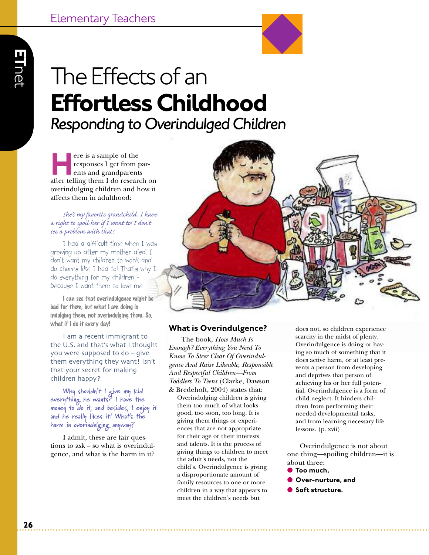# The Effects of an **EffortlessChildhood** *Responding to OverindulgedChildren*

**Here is a sample of the responses I get from parents and grandparents after telling them I do research on** responses I get from parents and grandparents overindulging children and how it affects them in adulthood:

## *She's my favorite grandchild. I have a right to spoil her if I want to! I don't see a problem with that!*

I had a difficult time when I was growing up after my mother died. I don't want my children to work and do chores like I had to! That's why I do everything for my children because I want them to love me.

**I can see that overindulgence might be bad for them, but what I am doing is indulging them, not overindulging them. So, what if I do it every day!**

I am a recent immigrant to the U.S. and that's what I thought you were supposed to do – give them everything they want! Isn't that your secret for making children happy?

**Why shouldn't I give my kid everything he wants? I have the money to do it, and besides, I enjoy it and he really likes it! What's the harm in overindulging anyway?**

I admit, these are fair questions to ask – so what is overindulgence, and what is the harm in it?



## **What is Overindulgence?**

The book, *How Much Is Enough? Everything You Need To Know To Steer Clear Of Overindulgence And Raise Likeable, Responsible And Respectful Children—From Toddlers To Teens* (Clarke, Dawson & Bredehoft, 2004) states that: Overindulging children is giving them too much of what looks good, too soon, too long. It is giving them things or experiences that are not appropriate for their age or their interests and talents. It is the process of giving things to children to meet the adult's needs, not the child's. Overindulgence is giving a disproportionate amount of family resources to one or more children in a way that appears to meet the children's needs but

does not, so children experience scarcity in the midst of plenty. Overindulgence is doing or having so much of something that it does active harm, or at least prevents a person from developing and deprives that person of achieving his or her full potential. Overindulgence is a form of child neglect. It hinders children from performing their needed developmental tasks, and from learning necessary life lessons. (p. xvii)

Overindulgence is not about one thing—spoiling children—it is about three:

- **Too much,** ● **Over-nurture, and**
- **Soft structure.**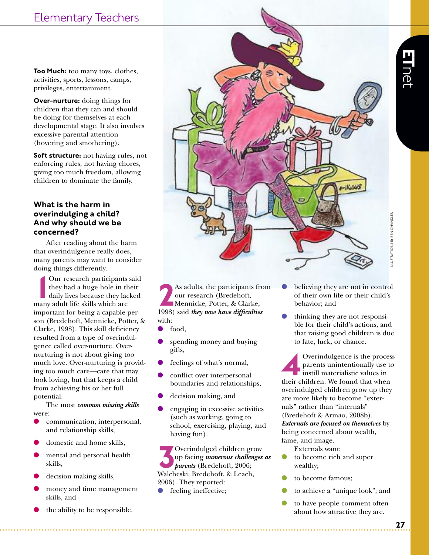**Too Much:** too many toys, clothes, activities, sports, lessons, camps, privileges, entertainment.

**Over-nurture:** doing things for children that they can and should be doing for themselves at each developmental stage. It also involves excessive parental attention (hovering and smothering).

**Soft structure:** not having rules, not enforcing rules, not having chores, giving too much freedom, allowing children to dominate the family.

## **What is the harm in overindulging a child? And why should we be concerned?**

After reading about the harm that overindulgence really does, many parents may want to consider doing things differently.

Our research participants<br>they had a huge hole in the<br>daily lives because they lad<br>many adult life skills which are Our research participants said they had a huge hole in their daily lives because they lacked important for being a capable person (Bredehoft, Mennicke, Potter, & Clarke, 1998). This skill deficiency resulted from a type of overindulgence called over-nurture. Overnurturing is not about giving too much love. Over-nurturing is providing too much care—care that may look loving, but that keeps a child from achieving his or her full potential.

The most *common missing skills* were:

- communication, interpersonal, and relationship skills,
- domestic and home skills,
- mental and personal health skills,
- decision making skills,
- money and time management skills, and
- the ability to be responsible.



**2**As adults, the participants from 1998) said *they now have difficulties* our research (Bredehoft, Mennicke, Potter, & Clarke, with:

- food.
- spending money and buying gifts,
- feelings of what's normal,
- conflict over interpersonal boundaries and relationships,
- decision making, and
- engaging in excessive activities (such as working, going to school, exercising, playing, and having fun).

**3**Overindulged children grow<br>up facing *numerous challenges*<br>parents (Bredehoft, 2006;<br>Walcheski, Bredehoft, & Leach, up facing *numerous challenges as parents* (Bredehoft, 2006; Walcheski, Bredehoft, & Leach, 2006). They reported:

feeling ineffective;

- believing they are not in control of their own life or their child's behavior; and
- thinking they are not responsible for their child's actions, and that raising good children is due to fate, luck, or chance.

**44** Overindulgence is the process<br>parents unintentionally use to<br>instill materialistic values in<br>their children. We found that when parents unintentionally use to **instill materialistic values in** overindulged children grow up they are more likely to become "externals" rather than "internals" (Bredehoft & Armao, 2008b). *Externals are focused on themselves* by being concerned about wealth, fame, and image.

- Externals want:
- to become rich and super wealthy;
- to become famous;
- to achieve a "unique look"; and
- to have people comment often about how attractive they are.

**E T**  $\Box$  $\overline{\mathrm{o}}$ ض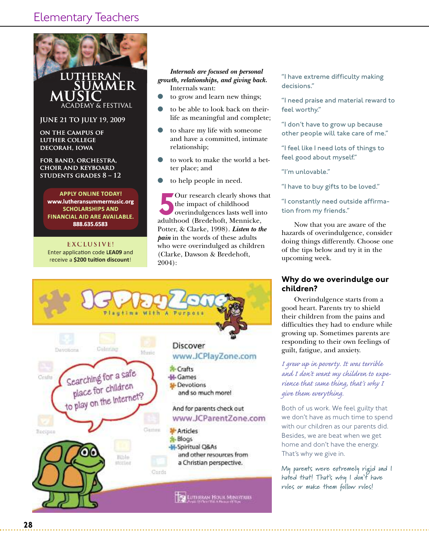

**SCHOLARSHIPS AND SCHOLARSHIPS AND FINANCIAL AID ARE AVAILABLE.**<br> **B88.635.6583**<br> **EXCLUSIVE! 888.635.6583**

**EXCLUSIVE!** Enter application code LEA09 and receive a \$200 tuition discount!

## *growth, relationships, and giving back.* Internals want:

- to grow and learn new things;
- to be able to look back on theirlife as meaningful and complete;
- to share my life with someone and have a committed, intimate relationship;
- to work to make the world a better place; and
- to help people in need.

FR<br>
Internals *are focused* on *personal*<br>
growth, relationships, and giving bac<br>
internals want:<br>
to grow and learn new things;<br>
to be able to look back on the<br>
life as meaningful and comple<br>
to share my life with someo Our research clearly shows that<br>the impact of childhood<br>overindulgences lasts well into<br>adulthood (Bredehoft, Mennicke, the impact of childhood overindulgences lasts well into adulthood (Bredehoft, Mennicke, Potter, & Clarke, 1998). *Listen to the pain* in the words of these adults who were overindulged as children (Clarke, Dawson & Bredehoft, 2004):



"I have extreme difficulty making decisions."

"I need praise and material reward to feel worthy."

"I don't have to grow up because other people will take care of me."

"I feel like I need lots of things to feel good about myself."

"I'm unlovable."

"I have to buy gifts to be loved."

"I constantly need outside affirmation from my friends."

Now that you are aware of the hazards of overindulgence, consider doing things differently. Choose one of the tips below and try it in the upcoming week.

## **Why do we overindulge our children?**

Overindulgence starts from a good heart. Parents try to shield their children from the pains and difficulties they had to endure while growing up. Sometimes parents are responding to their own feelings of guilt, fatigue, and anxiety.

*I grew up in poverty. It was terrible and I don't want my children to experience that same thing, that's why I give them everything.*

Both of us work. We feel guilty that we don't have as much time to spend with our children as our parents did. Besides, we are beat when we get home and don't have the energy. That's why we give in.

**My parents were extremely rigid and I hated that! That's why I don't have rules or make them follow rules!**